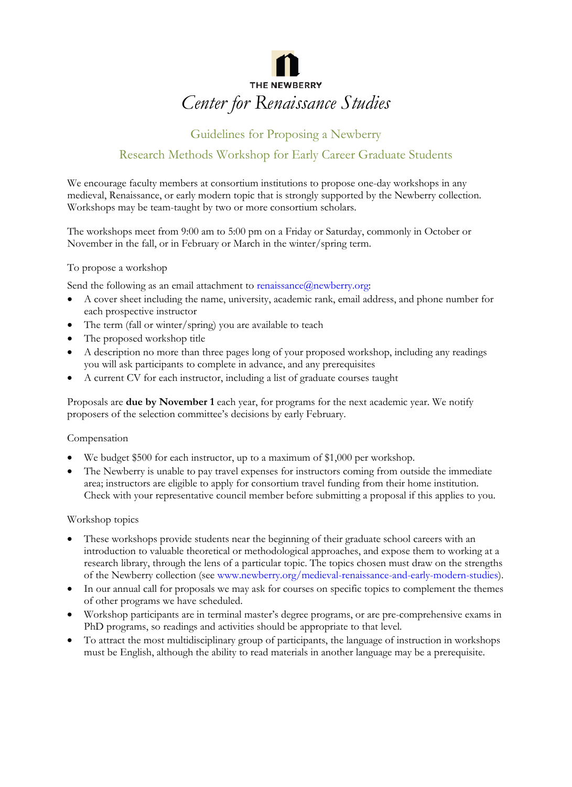

# Guidelines for Proposing a Newberry Research Methods Workshop for Early Career Graduate Students

We encourage faculty members at consortium institutions to propose one-day workshops in any medieval, Renaissance, or early modern topic that is strongly supported by the Newberry collection. Workshops may be team-taught by two or more consortium scholars.

The workshops meet from 9:00 am to 5:00 pm on a Friday or Saturday, commonly in October or November in the fall, or in February or March in the winter/spring term.

## To propose a workshop

Send the following as an email attachment to renaissance@newberry.org:

- A cover sheet including the name, university, academic rank, email address, and phone number for each prospective instructor
- The term (fall or winter/spring) you are available to teach
- The proposed workshop title
- A description no more than three pages long of your proposed workshop, including any readings you will ask participants to complete in advance, and any prerequisites
- A current CV for each instructor, including a list of graduate courses taught

Proposals are **due by November 1** each year, for programs for the next academic year. We notify proposers of the selection committee's decisions by early February.

#### Compensation

- We budget \$500 for each instructor, up to a maximum of \$1,000 per workshop.
- The Newberry is unable to pay travel expenses for instructors coming from outside the immediate area; instructors are eligible to apply for consortium travel funding from their home institution. Check with your representative council member before submitting a proposal if this applies to you.

#### Workshop topics

- These workshops provide students near the beginning of their graduate school careers with an introduction to valuable theoretical or methodological approaches, and expose them to working at a research library, through the lens of a particular topic. The topics chosen must draw on the strengths of the Newberry collection (see www.newberry.org/medieval-renaissance-and-early-modern-studies).
- In our annual call for proposals we may ask for courses on specific topics to complement the themes of other programs we have scheduled.
- Workshop participants are in terminal master's degree programs, or are pre-comprehensive exams in PhD programs, so readings and activities should be appropriate to that level.
- To attract the most multidisciplinary group of participants, the language of instruction in workshops must be English, although the ability to read materials in another language may be a prerequisite.